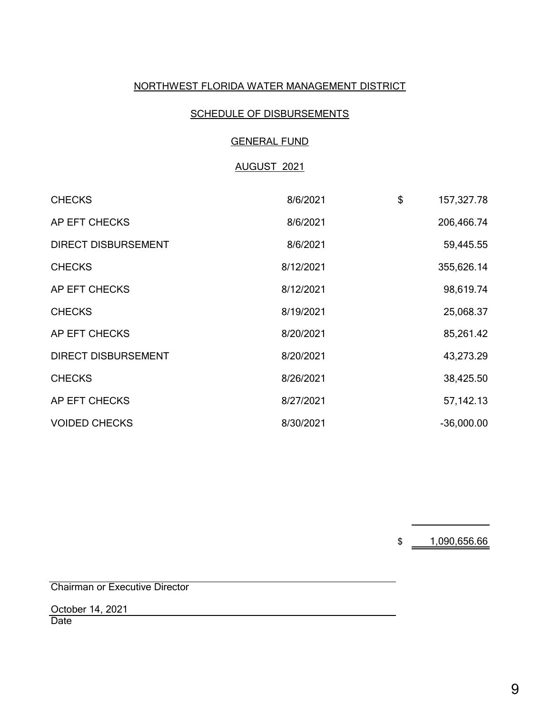# NORTHWEST FLORIDA WATER MANAGEMENT DISTRICT

 $\sim$   $\sim$ 

### SCHEDULE OF DISBURSEMENTS

### GENERAL FUND

# AUGUST 2021

| <b>CHECKS</b>              | 8/6/2021  | \$<br>157,327.78 |
|----------------------------|-----------|------------------|
| AP EFT CHECKS              | 8/6/2021  | 206,466.74       |
| <b>DIRECT DISBURSEMENT</b> | 8/6/2021  | 59,445.55        |
| <b>CHECKS</b>              | 8/12/2021 | 355,626.14       |
| AP EFT CHECKS              | 8/12/2021 | 98,619.74        |
| <b>CHECKS</b>              | 8/19/2021 | 25,068.37        |
| AP EFT CHECKS              | 8/20/2021 | 85,261.42        |
| <b>DIRECT DISBURSEMENT</b> | 8/20/2021 | 43,273.29        |
| <b>CHECKS</b>              | 8/26/2021 | 38,425.50        |
| AP EFT CHECKS              | 8/27/2021 | 57, 142. 13      |
| <b>VOIDED CHECKS</b>       | 8/30/2021 | $-36,000.00$     |

\$ 1,090,656.66

Chairman or Executive Director

October 14, 2021

**Date**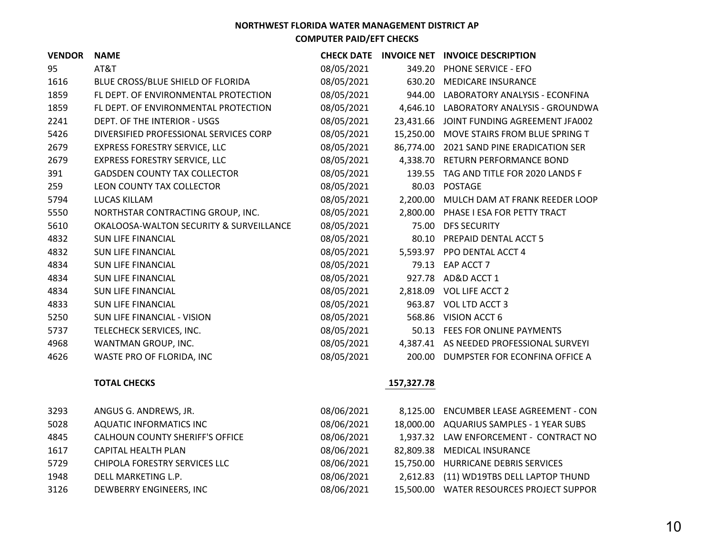| <b>VENDOR</b> | <b>NAME</b>                             | <b>CHECK DATE</b> |            | INVOICE NET INVOICE DESCRIPTION         |
|---------------|-----------------------------------------|-------------------|------------|-----------------------------------------|
| 95            | AT&T                                    | 08/05/2021        | 349.20     | <b>PHONE SERVICE - EFO</b>              |
| 1616          | BLUE CROSS/BLUE SHIELD OF FLORIDA       | 08/05/2021        | 630.20     | MEDICARE INSURANCE                      |
| 1859          | FL DEPT. OF ENVIRONMENTAL PROTECTION    | 08/05/2021        | 944.00     | LABORATORY ANALYSIS - ECONFINA          |
| 1859          | FL DEPT. OF ENVIRONMENTAL PROTECTION    | 08/05/2021        | 4,646.10   | LABORATORY ANALYSIS - GROUNDWA          |
| 2241          | DEPT. OF THE INTERIOR - USGS            | 08/05/2021        | 23,431.66  | JOINT FUNDING AGREEMENT JFA002          |
| 5426          | DIVERSIFIED PROFESSIONAL SERVICES CORP  | 08/05/2021        | 15,250.00  | MOVE STAIRS FROM BLUE SPRING T          |
| 2679          | <b>EXPRESS FORESTRY SERVICE, LLC</b>    | 08/05/2021        | 86,774.00  | 2021 SAND PINE ERADICATION SER          |
| 2679          | <b>EXPRESS FORESTRY SERVICE, LLC</b>    | 08/05/2021        |            | 4,338.70 RETURN PERFORMANCE BOND        |
| 391           | <b>GADSDEN COUNTY TAX COLLECTOR</b>     | 08/05/2021        | 139.55     | TAG AND TITLE FOR 2020 LANDS F          |
| 259           | LEON COUNTY TAX COLLECTOR               | 08/05/2021        | 80.03      | <b>POSTAGE</b>                          |
| 5794          | LUCAS KILLAM                            | 08/05/2021        | 2,200.00   | MULCH DAM AT FRANK REEDER LOOP          |
| 5550          | NORTHSTAR CONTRACTING GROUP, INC.       | 08/05/2021        |            | 2,800.00 PHASE I ESA FOR PETTY TRACT    |
| 5610          | OKALOOSA-WALTON SECURITY & SURVEILLANCE | 08/05/2021        | 75.00      | <b>DFS SECURITY</b>                     |
| 4832          | <b>SUN LIFE FINANCIAL</b>               | 08/05/2021        | 80.10      | PREPAID DENTAL ACCT 5                   |
| 4832          | <b>SUN LIFE FINANCIAL</b>               | 08/05/2021        |            | 5,593.97 PPO DENTAL ACCT 4              |
| 4834          | <b>SUN LIFE FINANCIAL</b>               | 08/05/2021        | 79.13      | EAP ACCT 7                              |
| 4834          | <b>SUN LIFE FINANCIAL</b>               | 08/05/2021        |            | 927.78 AD&D ACCT 1                      |
| 4834          | <b>SUN LIFE FINANCIAL</b>               | 08/05/2021        | 2,818.09   | <b>VOL LIFE ACCT 2</b>                  |
| 4833          | <b>SUN LIFE FINANCIAL</b>               | 08/05/2021        |            | 963.87 VOL LTD ACCT 3                   |
| 5250          | SUN LIFE FINANCIAL - VISION             | 08/05/2021        | 568.86     | VISION ACCT 6                           |
| 5737          | TELECHECK SERVICES, INC.                | 08/05/2021        | 50.13      | FEES FOR ONLINE PAYMENTS                |
| 4968          | WANTMAN GROUP, INC.                     | 08/05/2021        |            | 4,387.41 AS NEEDED PROFESSIONAL SURVEYI |
| 4626          | WASTE PRO OF FLORIDA, INC               | 08/05/2021        | 200.00     | DUMPSTER FOR ECONFINA OFFICE A          |
|               | <b>TOTAL CHECKS</b>                     |                   | 157,327.78 |                                         |

| 3293 | ANGUS G. ANDREWS, JR.           | 08/06/2021 | 8,125.00 ENCUMBER LEASE AGREEMENT - CON  |
|------|---------------------------------|------------|------------------------------------------|
| 5028 | <b>AQUATIC INFORMATICS INC</b>  | 08/06/2021 | 18,000.00 AQUARIUS SAMPLES - 1 YEAR SUBS |
| 4845 | CALHOUN COUNTY SHERIFF'S OFFICE | 08/06/2021 | 1,937.32 LAW ENFORCEMENT - CONTRACT NO   |
| 1617 | CAPITAL HEALTH PLAN             | 08/06/2021 | 82,809.38 MEDICAL INSURANCE              |
| 5729 | CHIPOLA FORESTRY SERVICES LLC   | 08/06/2021 | 15,750.00 HURRICANE DEBRIS SERVICES      |
| 1948 | DELL MARKETING L.P.             | 08/06/2021 | 2,612.83 (11) WD19TBS DELL LAPTOP THUND  |
| 3126 | DEWBERRY ENGINEERS, INC         | 08/06/2021 | 15,500.00 WATER RESOURCES PROJECT SUPPOR |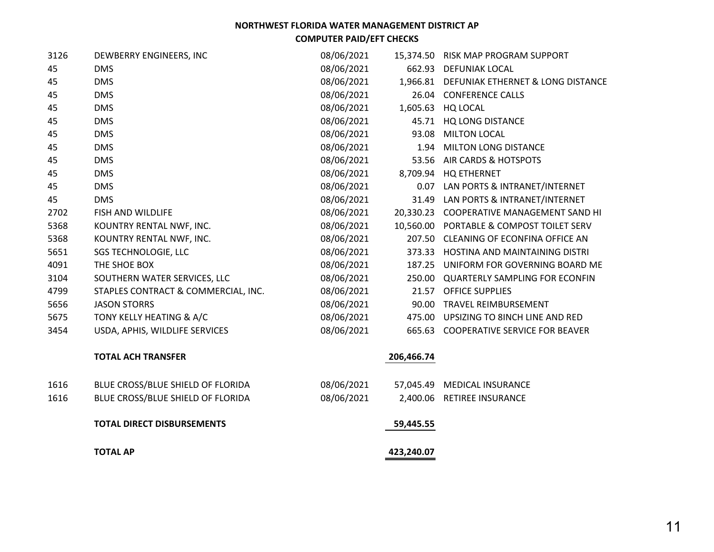### **NORTHWEST FLORIDA WATER MANAGEMENT DISTRICT AP**

**COMPUTER PAID/EFT CHECKS**

| 3126 | DEWBERRY ENGINEERS, INC             | 08/06/2021 |            | 15,374.50 RISK MAP PROGRAM SUPPORT         |
|------|-------------------------------------|------------|------------|--------------------------------------------|
| 45   | <b>DMS</b>                          | 08/06/2021 |            | 662.93 DEFUNIAK LOCAL                      |
| 45   | <b>DMS</b>                          | 08/06/2021 |            | 1,966.81 DEFUNIAK ETHERNET & LONG DISTANCE |
| 45   | <b>DMS</b>                          | 08/06/2021 |            | 26.04 CONFERENCE CALLS                     |
| 45   | <b>DMS</b>                          | 08/06/2021 |            | 1,605.63 HQ LOCAL                          |
| 45   | <b>DMS</b>                          | 08/06/2021 |            | 45.71 HQ LONG DISTANCE                     |
| 45   | <b>DMS</b>                          | 08/06/2021 | 93.08      | <b>MILTON LOCAL</b>                        |
| 45   | <b>DMS</b>                          | 08/06/2021 |            | 1.94 MILTON LONG DISTANCE                  |
| 45   | <b>DMS</b>                          | 08/06/2021 | 53.56      | AIR CARDS & HOTSPOTS                       |
| 45   | <b>DMS</b>                          | 08/06/2021 |            | 8,709.94 HQ ETHERNET                       |
| 45   | <b>DMS</b>                          | 08/06/2021 |            | 0.07 LAN PORTS & INTRANET/INTERNET         |
| 45   | <b>DMS</b>                          | 08/06/2021 |            | 31.49 LAN PORTS & INTRANET/INTERNET        |
| 2702 | <b>FISH AND WILDLIFE</b>            | 08/06/2021 |            | 20,330.23 COOPERATIVE MANAGEMENT SAND HI   |
| 5368 | KOUNTRY RENTAL NWF, INC.            | 08/06/2021 |            | 10,560.00 PORTABLE & COMPOST TOILET SERV   |
| 5368 | KOUNTRY RENTAL NWF, INC.            | 08/06/2021 |            | 207.50 CLEANING OF ECONFINA OFFICE AN      |
| 5651 | <b>SGS TECHNOLOGIE, LLC</b>         | 08/06/2021 |            | 373.33 HOSTINA AND MAINTAINING DISTRI      |
| 4091 | THE SHOE BOX                        | 08/06/2021 | 187.25     | UNIFORM FOR GOVERNING BOARD ME             |
| 3104 | SOUTHERN WATER SERVICES, LLC        | 08/06/2021 |            | 250.00 QUARTERLY SAMPLING FOR ECONFIN      |
| 4799 | STAPLES CONTRACT & COMMERCIAL, INC. | 08/06/2021 | 21.57      | <b>OFFICE SUPPLIES</b>                     |
| 5656 | <b>JASON STORRS</b>                 | 08/06/2021 |            | 90.00 TRAVEL REIMBURSEMENT                 |
| 5675 | TONY KELLY HEATING & A/C            | 08/06/2021 |            | 475.00 UPSIZING TO 8INCH LINE AND RED      |
| 3454 | USDA, APHIS, WILDLIFE SERVICES      | 08/06/2021 |            | 665.63 COOPERATIVE SERVICE FOR BEAVER      |
|      | <b>TOTAL ACH TRANSFER</b>           |            | 206,466.74 |                                            |
| 1616 | BLUE CROSS/BLUE SHIELD OF FLORIDA   | 08/06/2021 |            | 57,045.49 MEDICAL INSURANCE                |
| 1616 | BLUE CROSS/BLUE SHIELD OF FLORIDA   | 08/06/2021 |            | 2,400.06 RETIREE INSURANCE                 |
|      | <b>TOTAL DIRECT DISBURSEMENTS</b>   |            | 59,445.55  |                                            |
|      | <b>TOTAL AP</b>                     |            | 423,240.07 |                                            |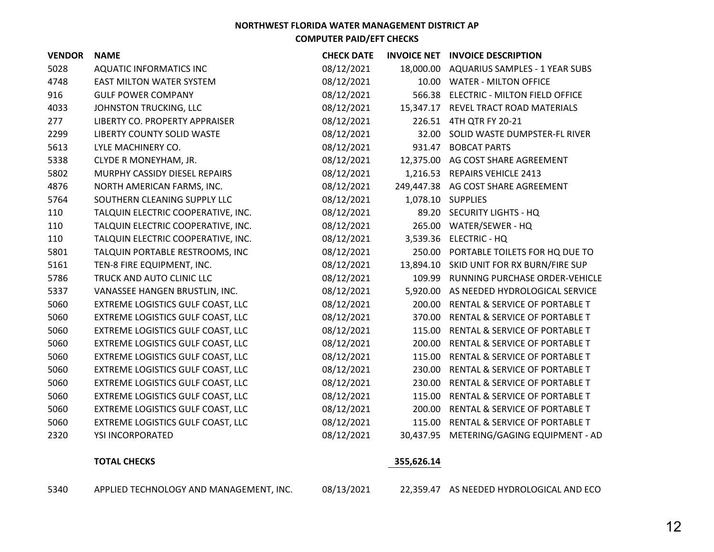| <b>VENDOR</b> | <b>NAME</b>                        | <b>CHECK DATE</b> |            | <b>INVOICE NET INVOICE DESCRIPTION</b>   |
|---------------|------------------------------------|-------------------|------------|------------------------------------------|
| 5028          | AQUATIC INFORMATICS INC            | 08/12/2021        | 18,000.00  | <b>AQUARIUS SAMPLES - 1 YEAR SUBS</b>    |
| 4748          | <b>EAST MILTON WATER SYSTEM</b>    | 08/12/2021        | 10.00      | <b>WATER - MILTON OFFICE</b>             |
| 916           | <b>GULF POWER COMPANY</b>          | 08/12/2021        | 566.38     | <b>ELECTRIC - MILTON FIELD OFFICE</b>    |
| 4033          | JOHNSTON TRUCKING, LLC             | 08/12/2021        |            | 15,347.17 REVEL TRACT ROAD MATERIALS     |
| 277           | LIBERTY CO. PROPERTY APPRAISER     | 08/12/2021        |            | 226.51 4TH QTR FY 20-21                  |
| 2299          | LIBERTY COUNTY SOLID WASTE         | 08/12/2021        | 32.00      | SOLID WASTE DUMPSTER-FL RIVER            |
| 5613          | LYLE MACHINERY CO.                 | 08/12/2021        |            | 931.47 BOBCAT PARTS                      |
| 5338          | CLYDE R MONEYHAM, JR.              | 08/12/2021        | 12,375.00  | AG COST SHARE AGREEMENT                  |
| 5802          | MURPHY CASSIDY DIESEL REPAIRS      | 08/12/2021        | 1,216.53   | <b>REPAIRS VEHICLE 2413</b>              |
| 4876          | NORTH AMERICAN FARMS, INC.         | 08/12/2021        |            | 249,447.38 AG COST SHARE AGREEMENT       |
| 5764          | SOUTHERN CLEANING SUPPLY LLC       | 08/12/2021        | 1,078.10   | <b>SUPPLIES</b>                          |
| 110           | TALQUIN ELECTRIC COOPERATIVE, INC. | 08/12/2021        |            | 89.20 SECURITY LIGHTS - HQ               |
| 110           | TALQUIN ELECTRIC COOPERATIVE, INC. | 08/12/2021        |            | 265.00 WATER/SEWER - HQ                  |
| 110           | TALQUIN ELECTRIC COOPERATIVE, INC. | 08/12/2021        |            | 3,539.36 ELECTRIC - HQ                   |
| 5801          | TALQUIN PORTABLE RESTROOMS, INC    | 08/12/2021        | 250.00     | PORTABLE TOILETS FOR HQ DUE TO           |
| 5161          | TEN-8 FIRE EQUIPMENT, INC.         | 08/12/2021        |            | 13,894.10 SKID UNIT FOR RX BURN/FIRE SUP |
| 5786          | TRUCK AND AUTO CLINIC LLC          | 08/12/2021        | 109.99     | RUNNING PURCHASE ORDER-VEHICLE           |
| 5337          | VANASSEE HANGEN BRUSTLIN, INC.     | 08/12/2021        |            | 5,920.00 AS NEEDED HYDROLOGICAL SERVICE  |
| 5060          | EXTREME LOGISTICS GULF COAST, LLC  | 08/12/2021        | 200.00     | RENTAL & SERVICE OF PORTABLE T           |
| 5060          | EXTREME LOGISTICS GULF COAST, LLC  | 08/12/2021        | 370.00     | RENTAL & SERVICE OF PORTABLE T           |
| 5060          | EXTREME LOGISTICS GULF COAST, LLC  | 08/12/2021        | 115.00     | RENTAL & SERVICE OF PORTABLE T           |
| 5060          | EXTREME LOGISTICS GULF COAST, LLC  | 08/12/2021        | 200.00     | RENTAL & SERVICE OF PORTABLE T           |
| 5060          | EXTREME LOGISTICS GULF COAST, LLC  | 08/12/2021        | 115.00     | RENTAL & SERVICE OF PORTABLE T           |
| 5060          | EXTREME LOGISTICS GULF COAST, LLC  | 08/12/2021        | 230.00     | RENTAL & SERVICE OF PORTABLE T           |
| 5060          | EXTREME LOGISTICS GULF COAST, LLC  | 08/12/2021        | 230.00     | RENTAL & SERVICE OF PORTABLE T           |
| 5060          | EXTREME LOGISTICS GULF COAST, LLC  | 08/12/2021        | 115.00     | RENTAL & SERVICE OF PORTABLE T           |
| 5060          | EXTREME LOGISTICS GULF COAST, LLC  | 08/12/2021        | 200.00     | RENTAL & SERVICE OF PORTABLE T           |
| 5060          | EXTREME LOGISTICS GULF COAST, LLC  | 08/12/2021        |            | 115.00 RENTAL & SERVICE OF PORTABLE T    |
| 2320          | YSI INCORPORATED                   | 08/12/2021        | 30,437.95  | METERING/GAGING EQUIPMENT - AD           |
|               | <b>TOTAL CHECKS</b>                |                   | 355,626.14 |                                          |

APPLIED TECHNOLOGY AND MANAGEMENT, INC. 08/13/2021 22,359.47 AS NEEDED HYDROLOGICAL AND ECO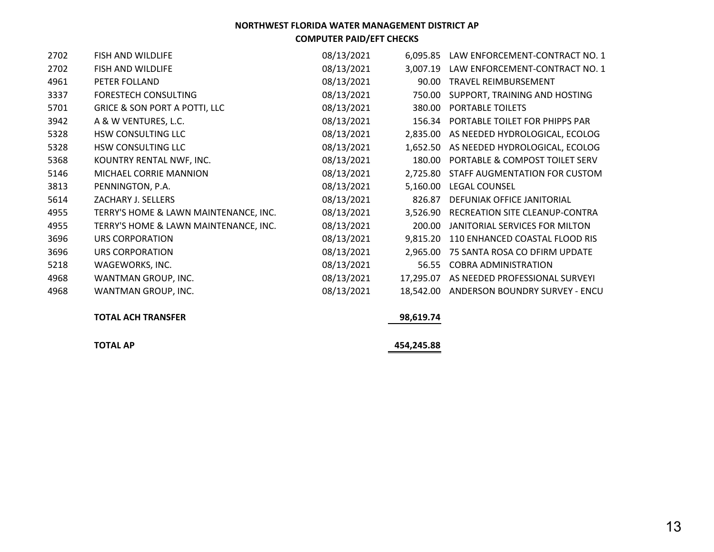# **NORTHWEST FLORIDA WATER MANAGEMENT DISTRICT AP**

**COMPUTER PAID/EFT CHECKS**

| 2702 | <b>FISH AND WILDLIFE</b>                 | 08/13/2021 | 6,095.85  | LAW ENFORCEMENT-CONTRACT NO. 1 |
|------|------------------------------------------|------------|-----------|--------------------------------|
| 2702 | FISH AND WILDLIFE                        | 08/13/2021 | 3,007.19  | LAW ENFORCEMENT-CONTRACT NO. 1 |
| 4961 | PETER FOLLAND                            | 08/13/2021 | 90.00     | <b>TRAVEL REIMBURSEMENT</b>    |
| 3337 | <b>FORESTECH CONSULTING</b>              | 08/13/2021 | 750.00    | SUPPORT, TRAINING AND HOSTING  |
| 5701 | <b>GRICE &amp; SON PORT A POTTI, LLC</b> | 08/13/2021 | 380.00    | PORTABLE TOILETS               |
| 3942 | A & W VENTURES, L.C.                     | 08/13/2021 | 156.34    | PORTABLE TOILET FOR PHIPPS PAR |
| 5328 | <b>HSW CONSULTING LLC</b>                | 08/13/2021 | 2.835.00  | AS NEEDED HYDROLOGICAL, ECOLOG |
| 5328 | HSW CONSULTING LLC                       | 08/13/2021 | 1,652.50  | AS NEEDED HYDROLOGICAL, ECOLOG |
| 5368 | KOUNTRY RENTAL NWF, INC.                 | 08/13/2021 | 180.00    | PORTABLE & COMPOST TOILET SERV |
| 5146 | MICHAEL CORRIE MANNION                   | 08/13/2021 | 2,725.80  | STAFF AUGMENTATION FOR CUSTOM  |
| 3813 | PENNINGTON, P.A.                         | 08/13/2021 | 5,160.00  | <b>LEGAL COUNSEL</b>           |
| 5614 | ZACHARY J. SELLERS                       | 08/13/2021 | 826.87    | DEFUNIAK OFFICE JANITORIAL     |
| 4955 | TERRY'S HOME & LAWN MAINTENANCE, INC.    | 08/13/2021 | 3,526.90  | RECREATION SITE CLEANUP-CONTRA |
| 4955 | TERRY'S HOME & LAWN MAINTENANCE, INC.    | 08/13/2021 | 200.00    | JANITORIAL SERVICES FOR MILTON |
| 3696 | URS CORPORATION                          | 08/13/2021 | 9,815.20  | 110 ENHANCED COASTAL FLOOD RIS |
| 3696 | <b>URS CORPORATION</b>                   | 08/13/2021 | 2,965.00  | 75 SANTA ROSA CO DFIRM UPDATE  |
| 5218 | WAGEWORKS, INC.                          | 08/13/2021 | 56.55     | <b>COBRA ADMINISTRATION</b>    |
| 4968 | WANTMAN GROUP, INC.                      | 08/13/2021 | 17,295.07 | AS NEEDED PROFESSIONAL SURVEYI |
| 4968 | WANTMAN GROUP, INC.                      | 08/13/2021 | 18,542.00 | ANDERSON BOUNDRY SURVEY - ENCU |

### **TOTAL ACH TRANSFER**

 **98,619.74**

**TOTAL AP 454,245.88**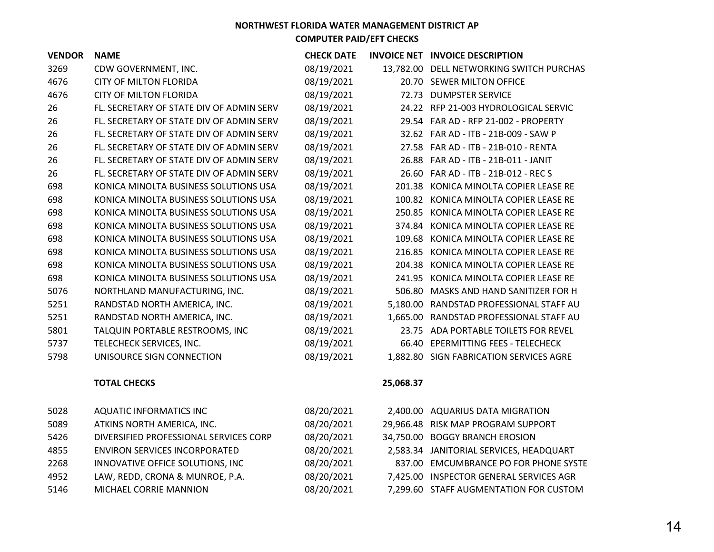### **NORTHWEST FLORIDA WATER MANAGEMENT DISTRICT AP**

**COMPUTER PAID/EFT CHECKS**

| <b>VENDOR</b> | <b>NAME</b>                              | <b>CHECK DATE</b> |           | INVOICE NET INVOICE DESCRIPTION          |
|---------------|------------------------------------------|-------------------|-----------|------------------------------------------|
| 3269          | CDW GOVERNMENT, INC.                     | 08/19/2021        |           | 13,782.00 DELL NETWORKING SWITCH PURCHAS |
| 4676          | <b>CITY OF MILTON FLORIDA</b>            | 08/19/2021        |           | 20.70 SEWER MILTON OFFICE                |
| 4676          | <b>CITY OF MILTON FLORIDA</b>            | 08/19/2021        | 72.73     | <b>DUMPSTER SERVICE</b>                  |
| 26            | FL. SECRETARY OF STATE DIV OF ADMIN SERV | 08/19/2021        |           | 24.22 RFP 21-003 HYDROLOGICAL SERVIC     |
| 26            | FL. SECRETARY OF STATE DIV OF ADMIN SERV | 08/19/2021        |           | 29.54 FAR AD - RFP 21-002 - PROPERTY     |
| 26            | FL. SECRETARY OF STATE DIV OF ADMIN SERV | 08/19/2021        |           | 32.62 FAR AD - ITB - 21B-009 - SAW P     |
| 26            | FL. SECRETARY OF STATE DIV OF ADMIN SERV | 08/19/2021        |           | 27.58 FAR AD - ITB - 21B-010 - RENTA     |
| 26            | FL. SECRETARY OF STATE DIV OF ADMIN SERV | 08/19/2021        |           | 26.88 FAR AD - ITB - 21B-011 - JANIT     |
| 26            | FL. SECRETARY OF STATE DIV OF ADMIN SERV | 08/19/2021        |           | 26.60 FAR AD - ITB - 21B-012 - REC S     |
| 698           | KONICA MINOLTA BUSINESS SOLUTIONS USA    | 08/19/2021        |           | 201.38 KONICA MINOLTA COPIER LEASE RE    |
| 698           | KONICA MINOLTA BUSINESS SOLUTIONS USA    | 08/19/2021        |           | 100.82 KONICA MINOLTA COPIER LEASE RE    |
| 698           | KONICA MINOLTA BUSINESS SOLUTIONS USA    | 08/19/2021        | 250.85    | KONICA MINOLTA COPIER LEASE RE           |
| 698           | KONICA MINOLTA BUSINESS SOLUTIONS USA    | 08/19/2021        | 374.84    | KONICA MINOLTA COPIER LEASE RE           |
| 698           | KONICA MINOLTA BUSINESS SOLUTIONS USA    | 08/19/2021        | 109.68    | KONICA MINOLTA COPIER LEASE RE           |
| 698           | KONICA MINOLTA BUSINESS SOLUTIONS USA    | 08/19/2021        | 216.85    | KONICA MINOLTA COPIER LEASE RE           |
| 698           | KONICA MINOLTA BUSINESS SOLUTIONS USA    | 08/19/2021        | 204.38    | KONICA MINOLTA COPIER LEASE RE           |
| 698           | KONICA MINOLTA BUSINESS SOLUTIONS USA    | 08/19/2021        | 241.95    | KONICA MINOLTA COPIER LEASE RE           |
| 5076          | NORTHLAND MANUFACTURING, INC.            | 08/19/2021        | 506.80    | MASKS AND HAND SANITIZER FOR H           |
| 5251          | RANDSTAD NORTH AMERICA, INC.             | 08/19/2021        |           | 5,180.00 RANDSTAD PROFESSIONAL STAFF AU  |
| 5251          | RANDSTAD NORTH AMERICA, INC.             | 08/19/2021        |           | 1,665.00 RANDSTAD PROFESSIONAL STAFF AU  |
| 5801          | TALQUIN PORTABLE RESTROOMS, INC          | 08/19/2021        | 23.75     | ADA PORTABLE TOILETS FOR REVEL           |
| 5737          | TELECHECK SERVICES, INC.                 | 08/19/2021        |           | 66.40 EPERMITTING FEES - TELECHECK       |
| 5798          | UNISOURCE SIGN CONNECTION                | 08/19/2021        |           | 1,882.80 SIGN FABRICATION SERVICES AGRE  |
|               | <b>TOTAL CHECKS</b>                      |                   | 25,068.37 |                                          |

| 5028 | AQUATIC INFORMATICS INC                | 08/20/2021 | 2,400.00 AQUARIUS DATA MIGRATION        |
|------|----------------------------------------|------------|-----------------------------------------|
| 5089 | ATKINS NORTH AMERICA, INC.             | 08/20/2021 | 29,966.48 RISK MAP PROGRAM SUPPORT      |
| 5426 | DIVERSIFIED PROFESSIONAL SERVICES CORP | 08/20/2021 | 34,750.00 BOGGY BRANCH EROSION          |
| 4855 | <b>ENVIRON SERVICES INCORPORATED</b>   | 08/20/2021 | 2,583.34 JANITORIAL SERVICES, HEADQUART |
| 2268 | INNOVATIVE OFFICE SOLUTIONS, INC       | 08/20/2021 | 837.00 EMCUMBRANCE PO FOR PHONE SYSTE   |
| 4952 | LAW, REDD, CRONA & MUNROE, P.A.        | 08/20/2021 | 7,425.00 INSPECTOR GENERAL SERVICES AGR |
| 5146 | MICHAEL CORRIE MANNION                 | 08/20/2021 | 7,299.60 STAFF AUGMENTATION FOR CUSTOM  |
|      |                                        |            |                                         |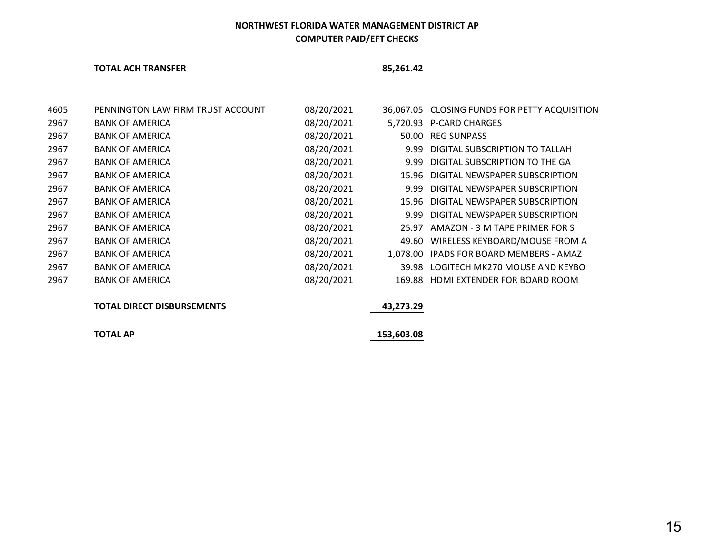### **TOTAL ACH TRANSFER 85,261.42**

| 4605 | PENNINGTON LAW FIRM TRUST ACCOUNT | 08/20/2021 |       | 36,067.05 CLOSING FUNDS FOR PETTY ACQUISITION |
|------|-----------------------------------|------------|-------|-----------------------------------------------|
| 2967 | <b>BANK OF AMERICA</b>            | 08/20/2021 |       | 5.720.93 P-CARD CHARGES                       |
| 2967 | <b>BANK OF AMERICA</b>            | 08/20/2021 |       | 50.00 REG SUNPASS                             |
| 2967 | <b>BANK OF AMERICA</b>            | 08/20/2021 | 9.99  | DIGITAL SUBSCRIPTION TO TALLAH                |
| 2967 | <b>BANK OF AMERICA</b>            | 08/20/2021 | 9.99  | DIGITAL SUBSCRIPTION TO THE GA                |
| 2967 | <b>BANK OF AMERICA</b>            | 08/20/2021 |       | 15.96 DIGITAL NEWSPAPER SUBSCRIPTION          |
| 2967 | <b>BANK OF AMERICA</b>            | 08/20/2021 | 9.99  | DIGITAL NEWSPAPER SUBSCRIPTION                |
| 2967 | <b>BANK OF AMERICA</b>            | 08/20/2021 |       | 15.96 DIGITAL NEWSPAPER SUBSCRIPTION          |
| 2967 | <b>BANK OF AMERICA</b>            | 08/20/2021 |       | 9.99 DIGITAL NEWSPAPER SUBSCRIPTION           |
| 2967 | <b>BANK OF AMERICA</b>            | 08/20/2021 | 25.97 | AMAZON - 3 M TAPE PRIMER FOR S                |
| 2967 | <b>BANK OF AMERICA</b>            | 08/20/2021 |       | 49.60 WIRELESS KEYBOARD/MOUSE FROM A          |
| 2967 | <b>BANK OF AMERICA</b>            | 08/20/2021 |       | 1,078.00 IPADS FOR BOARD MEMBERS - AMAZ       |
| 2967 | <b>BANK OF AMERICA</b>            | 08/20/2021 |       | 39.98 LOGITECH MK270 MOUSE AND KEYBO          |
| 2967 | <b>BANK OF AMERICA</b>            | 08/20/2021 |       | 169.88 HDMI EXTENDER FOR BOARD ROOM           |
|      |                                   |            |       |                                               |

### **TOTAL DIRECT DISBURSEMENTS 43,273.29**

**TOTAL AP 153,603.08**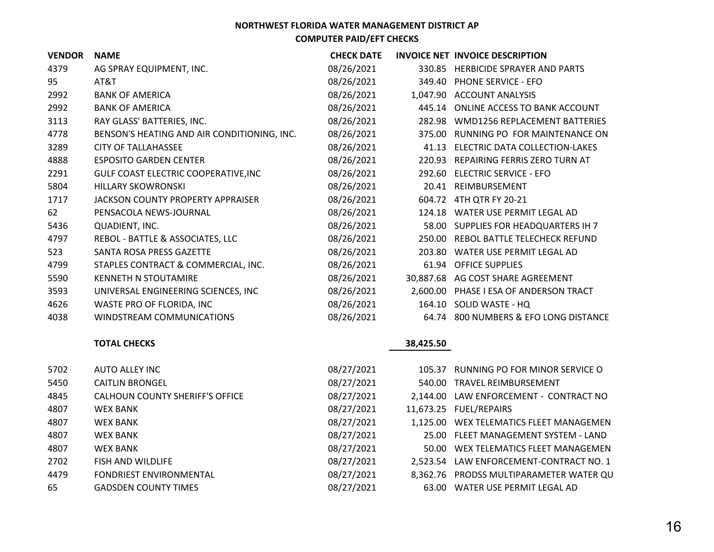| <b>VENDOR</b> | <b>NAME</b>                                 | <b>CHECK DATE</b> |           | INVOICE NET INVOICE DESCRIPTION      |
|---------------|---------------------------------------------|-------------------|-----------|--------------------------------------|
| 4379          | AG SPRAY EQUIPMENT, INC.                    | 08/26/2021        | 330.85    | <b>HERBICIDE SPRAYER AND PARTS</b>   |
| 95            | AT&T                                        | 08/26/2021        | 349.40    | <b>PHONE SERVICE - EFO</b>           |
| 2992          | <b>BANK OF AMERICA</b>                      | 08/26/2021        | 1,047.90  | <b>ACCOUNT ANALYSIS</b>              |
| 2992          | <b>BANK OF AMERICA</b>                      | 08/26/2021        | 445.14    | ONLINE ACCESS TO BANK ACCOUNT        |
| 3113          | RAY GLASS' BATTERIES, INC.                  | 08/26/2021        | 282.98    | WMD1256 REPLACEMENT BATTERIES        |
| 4778          | BENSON'S HEATING AND AIR CONDITIONING, INC. | 08/26/2021        | 375.00    | RUNNING PO FOR MAINTENANCE ON        |
| 3289          | <b>CITY OF TALLAHASSEE</b>                  | 08/26/2021        | 41.13     | ELECTRIC DATA COLLECTION-LAKES       |
| 4888          | <b>ESPOSITO GARDEN CENTER</b>               | 08/26/2021        | 220.93    | <b>REPAIRING FERRIS ZERO TURN AT</b> |
| 2291          | GULF COAST ELECTRIC COOPERATIVE, INC        | 08/26/2021        | 292.60    | <b>ELECTRIC SERVICE - EFO</b>        |
| 5804          | <b>HILLARY SKOWRONSKI</b>                   | 08/26/2021        | 20.41     | REIMBURSEMENT                        |
| 1717          | JACKSON COUNTY PROPERTY APPRAISER           | 08/26/2021        | 604.72    | 4TH QTR FY 20-21                     |
| 62            | PENSACOLA NEWS-JOURNAL                      | 08/26/2021        | 124.18    | WATER USE PERMIT LEGAL AD            |
| 5436          | QUADIENT, INC.                              | 08/26/2021        | 58.00     | SUPPLIES FOR HEADQUARTERS IH 7       |
| 4797          | REBOL - BATTLE & ASSOCIATES, LLC            | 08/26/2021        | 250.00    | REBOL BATTLE TELECHECK REFUND        |
| 523           | SANTA ROSA PRESS GAZETTE                    | 08/26/2021        | 203.80    | WATER USE PERMIT LEGAL AD            |
| 4799          | STAPLES CONTRACT & COMMERCIAL, INC.         | 08/26/2021        | 61.94     | <b>OFFICE SUPPLIES</b>               |
| 5590          | <b>KENNETH N STOUTAMIRE</b>                 | 08/26/2021        | 30,887.68 | AG COST SHARE AGREEMENT              |
| 3593          | UNIVERSAL ENGINEERING SCIENCES, INC         | 08/26/2021        | 2,600.00  | PHASE I ESA OF ANDERSON TRACT        |
| 4626          | WASTE PRO OF FLORIDA, INC                   | 08/26/2021        | 164.10    | SOLID WASTE - HQ                     |
| 4038          | WINDSTREAM COMMUNICATIONS                   | 08/26/2021        | 64.74     | 800 NUMBERS & EFO LONG DISTANCE      |

### **TOTAL CHECKS 38,425.50**

| 5702 | AUTO ALLEY INC                  | 08/27/2021 | 105.37   | RUNNING PO FOR MINOR SERVICE O          |
|------|---------------------------------|------------|----------|-----------------------------------------|
| 5450 | <b>CAITLIN BRONGEL</b>          | 08/27/2021 | 540.00   | TRAVEL REIMBURSEMENT                    |
| 4845 | CALHOUN COUNTY SHERIFF'S OFFICE | 08/27/2021 |          | 2,144.00 LAW ENFORCEMENT - CONTRACT NO  |
| 4807 | <b>WEX BANK</b>                 | 08/27/2021 |          | 11,673.25 FUEL/REPAIRS                  |
| 4807 | <b>WEX BANK</b>                 | 08/27/2021 |          | 1,125.00 WEX TELEMATICS FLEET MANAGEMEN |
| 4807 | <b>WEX BANK</b>                 | 08/27/2021 |          | 25.00 FLEET MANAGEMENT SYSTEM - LAND    |
| 4807 | <b>WEX BANK</b>                 | 08/27/2021 |          | 50.00 WEX TELEMATICS FLEET MANAGEMEN    |
| 2702 | FISH AND WILDLIFE               | 08/27/2021 |          | 2,523.54 LAW ENFORCEMENT-CONTRACT NO. 1 |
| 4479 | <b>FONDRIEST ENVIRONMENTAL</b>  | 08/27/2021 | 8.362.76 | PRODSS MULTIPARAMETER WATER QU          |
| 65   | <b>GADSDEN COUNTY TIMES</b>     | 08/27/2021 | 63.00    | WATER USE PERMIT LEGAL AD               |
|      |                                 |            |          |                                         |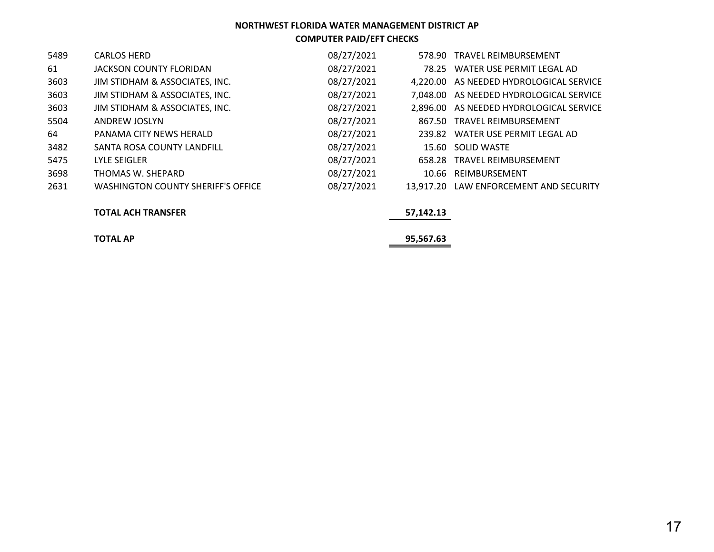| 5489 | <b>CARLOS HERD</b>                        | 08/27/2021 |           | 578.90 TRAVEL REIMBURSEMENT             |
|------|-------------------------------------------|------------|-----------|-----------------------------------------|
| 61   | JACKSON COUNTY FLORIDAN                   | 08/27/2021 |           | 78.25 WATER USE PERMIT LEGAL AD         |
| 3603 | JIM STIDHAM & ASSOCIATES, INC.            | 08/27/2021 |           | 4,220.00 AS NEEDED HYDROLOGICAL SERVICE |
| 3603 | JIM STIDHAM & ASSOCIATES, INC.            | 08/27/2021 |           | 7,048.00 AS NEEDED HYDROLOGICAL SERVICE |
| 3603 | JIM STIDHAM & ASSOCIATES, INC.            | 08/27/2021 |           | 2,896.00 AS NEEDED HYDROLOGICAL SERVICE |
| 5504 | ANDREW JOSLYN                             | 08/27/2021 |           | 867.50 TRAVEL REIMBURSEMENT             |
| 64   | PANAMA CITY NEWS HERALD                   | 08/27/2021 |           | 239.82 WATER USE PERMIT LEGAL AD        |
| 3482 | SANTA ROSA COUNTY LANDFILL                | 08/27/2021 |           | 15.60 SOLID WASTE                       |
| 5475 | LYLE SEIGLER                              | 08/27/2021 |           | 658.28 TRAVEL REIMBURSEMENT             |
| 3698 | THOMAS W. SHEPARD                         | 08/27/2021 |           | 10.66 REIMBURSEMENT                     |
| 2631 | <b>WASHINGTON COUNTY SHERIFF'S OFFICE</b> | 08/27/2021 | 13.917.20 | LAW ENFORCEMENT AND SECURITY            |

### **TOTAL ACH TRANSFER 57,142.13**

### **TOTAL AP 95,567.63**